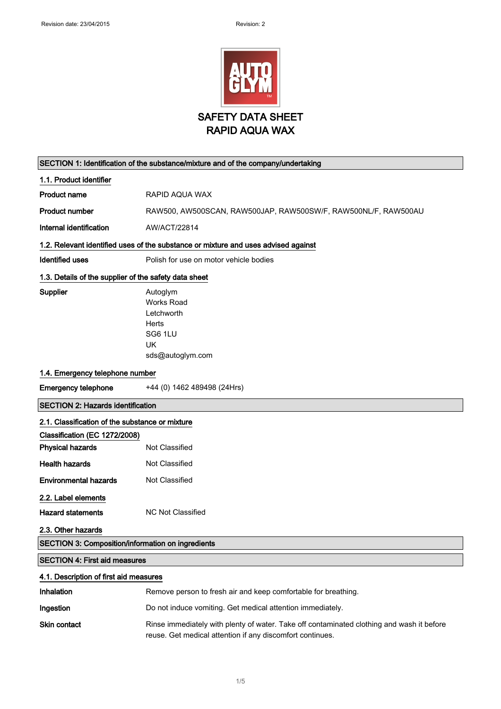

| SECTION 1: Identification of the substance/mixture and of the company/undertaking  |                                                                                           |  |
|------------------------------------------------------------------------------------|-------------------------------------------------------------------------------------------|--|
| 1.1. Product identifier                                                            |                                                                                           |  |
| <b>Product name</b>                                                                | RAPID AQUA WAX                                                                            |  |
| <b>Product number</b>                                                              | RAW500, AW500SCAN, RAW500JAP, RAW500SW/F, RAW500NL/F, RAW500AU                            |  |
| Internal identification                                                            | AW/ACT/22814                                                                              |  |
| 1.2. Relevant identified uses of the substance or mixture and uses advised against |                                                                                           |  |
| <b>Identified uses</b>                                                             | Polish for use on motor vehicle bodies                                                    |  |
| 1.3. Details of the supplier of the safety data sheet                              |                                                                                           |  |
| <b>Supplier</b>                                                                    | Autoglym                                                                                  |  |
|                                                                                    | <b>Works Road</b>                                                                         |  |
|                                                                                    | Letchworth                                                                                |  |
|                                                                                    | Herts                                                                                     |  |
|                                                                                    | SG6 1LU                                                                                   |  |
|                                                                                    | UK                                                                                        |  |
|                                                                                    | sds@autoglym.com                                                                          |  |
| 1.4. Emergency telephone number                                                    |                                                                                           |  |
| <b>Emergency telephone</b>                                                         | +44 (0) 1462 489498 (24Hrs)                                                               |  |
| <b>SECTION 2: Hazards identification</b>                                           |                                                                                           |  |
| 2.1. Classification of the substance or mixture                                    |                                                                                           |  |
| Classification (EC 1272/2008)                                                      |                                                                                           |  |
| <b>Physical hazards</b>                                                            | Not Classified                                                                            |  |
| <b>Health hazards</b>                                                              | Not Classified                                                                            |  |
| <b>Environmental hazards</b>                                                       | Not Classified                                                                            |  |
| 2.2. Label elements                                                                |                                                                                           |  |
| <b>Hazard statements</b>                                                           | NC Not Classified                                                                         |  |
| 2.3. Other hazards                                                                 |                                                                                           |  |
| SECTION 3: Composition/information on ingredients                                  |                                                                                           |  |
| <b>SECTION 4: First aid measures</b>                                               |                                                                                           |  |
| 4.1. Description of first aid measures                                             |                                                                                           |  |
| Inhalation                                                                         | Remove person to fresh air and keep comfortable for breathing.                            |  |
| Ingestion                                                                          | Do not induce vomiting. Get medical attention immediately.                                |  |
| Skin contact                                                                       | Rinse immediately with plenty of water. Take off contaminated clothing and wash it before |  |

reuse. Get medical attention if any discomfort continues.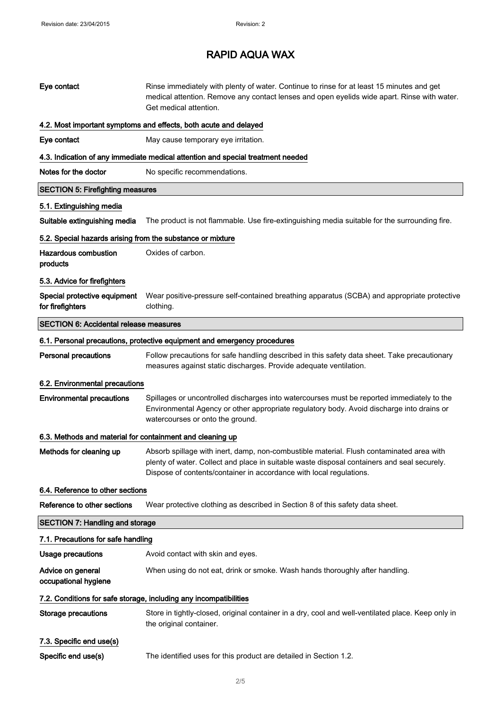# RAPID AQUA WAX

| Eye contact                                                       | Rinse immediately with plenty of water. Continue to rinse for at least 15 minutes and get<br>medical attention. Remove any contact lenses and open eyelids wide apart. Rinse with water.<br>Get medical attention.                                             |  |
|-------------------------------------------------------------------|----------------------------------------------------------------------------------------------------------------------------------------------------------------------------------------------------------------------------------------------------------------|--|
|                                                                   | 4.2. Most important symptoms and effects, both acute and delayed                                                                                                                                                                                               |  |
| Eye contact                                                       | May cause temporary eye irritation.                                                                                                                                                                                                                            |  |
|                                                                   | 4.3. Indication of any immediate medical attention and special treatment needed                                                                                                                                                                                |  |
| Notes for the doctor                                              | No specific recommendations.                                                                                                                                                                                                                                   |  |
| <b>SECTION 5: Firefighting measures</b>                           |                                                                                                                                                                                                                                                                |  |
| 5.1. Extinguishing media                                          |                                                                                                                                                                                                                                                                |  |
| Suitable extinguishing media                                      | The product is not flammable. Use fire-extinguishing media suitable for the surrounding fire.                                                                                                                                                                  |  |
| 5.2. Special hazards arising from the substance or mixture        |                                                                                                                                                                                                                                                                |  |
| <b>Hazardous combustion</b><br>products                           | Oxides of carbon.                                                                                                                                                                                                                                              |  |
| 5.3. Advice for firefighters                                      |                                                                                                                                                                                                                                                                |  |
| Special protective equipment<br>for firefighters                  | Wear positive-pressure self-contained breathing apparatus (SCBA) and appropriate protective<br>clothing.                                                                                                                                                       |  |
| <b>SECTION 6: Accidental release measures</b>                     |                                                                                                                                                                                                                                                                |  |
|                                                                   | 6.1. Personal precautions, protective equipment and emergency procedures                                                                                                                                                                                       |  |
| <b>Personal precautions</b>                                       | Follow precautions for safe handling described in this safety data sheet. Take precautionary<br>measures against static discharges. Provide adequate ventilation.                                                                                              |  |
| 6.2. Environmental precautions                                    |                                                                                                                                                                                                                                                                |  |
| <b>Environmental precautions</b>                                  | Spillages or uncontrolled discharges into watercourses must be reported immediately to the<br>Environmental Agency or other appropriate regulatory body. Avoid discharge into drains or<br>watercourses or onto the ground.                                    |  |
| 6.3. Methods and material for containment and cleaning up         |                                                                                                                                                                                                                                                                |  |
| Methods for cleaning up                                           | Absorb spillage with inert, damp, non-combustible material. Flush contaminated area with<br>plenty of water. Collect and place in suitable waste disposal containers and seal securely.<br>Dispose of contents/container in accordance with local regulations. |  |
| 6.4. Reference to other sections                                  |                                                                                                                                                                                                                                                                |  |
| Reference to other sections                                       | Wear protective clothing as described in Section 8 of this safety data sheet.                                                                                                                                                                                  |  |
| <b>SECTION 7: Handling and storage</b>                            |                                                                                                                                                                                                                                                                |  |
| 7.1. Precautions for safe handling                                |                                                                                                                                                                                                                                                                |  |
| Usage precautions                                                 | Avoid contact with skin and eyes.                                                                                                                                                                                                                              |  |
| Advice on general<br>occupational hygiene                         | When using do not eat, drink or smoke. Wash hands thoroughly after handling.                                                                                                                                                                                   |  |
| 7.2. Conditions for safe storage, including any incompatibilities |                                                                                                                                                                                                                                                                |  |
| <b>Storage precautions</b>                                        | Store in tightly-closed, original container in a dry, cool and well-ventilated place. Keep only in<br>the original container.                                                                                                                                  |  |
| 7.3. Specific end use(s)                                          |                                                                                                                                                                                                                                                                |  |
| Specific end use(s)                                               | The identified uses for this product are detailed in Section 1.2.                                                                                                                                                                                              |  |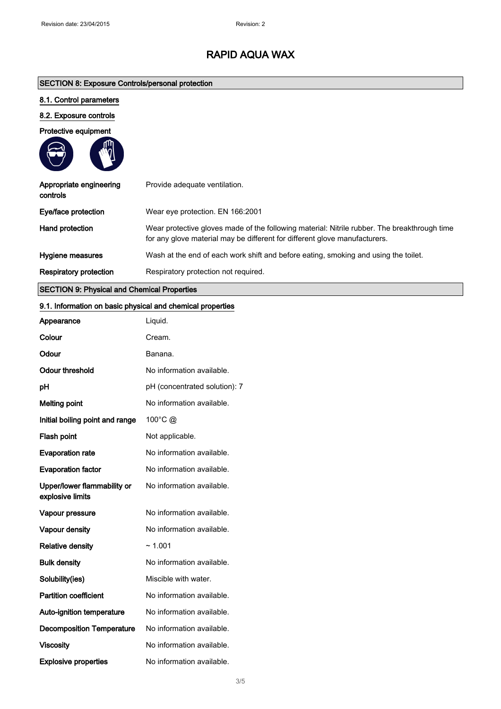# RAPID AQUA WAX

# SECTION 8: Exposure Controls/personal protection

# 8.1. Control parameters

## 8.2. Exposure controls

### Protective equipment

| Appropriate engineering<br>controls | Provide adequate ventilation.                                                                                                                                              |
|-------------------------------------|----------------------------------------------------------------------------------------------------------------------------------------------------------------------------|
| Eye/face protection                 | Wear eye protection. EN 166:2001                                                                                                                                           |
| Hand protection                     | Wear protective gloves made of the following material: Nitrile rubber. The breakthrough time<br>for any glove material may be different for different glove manufacturers. |
| Hygiene measures                    | Wash at the end of each work shift and before eating, smoking and using the toilet.                                                                                        |
| <b>Respiratory protection</b>       | Respiratory protection not required.                                                                                                                                       |

# SECTION 9: Physical and Chemical Properties

# 9.1. Information on basic physical and chemical properties

| Appearance                                      | Liquid.                       |
|-------------------------------------------------|-------------------------------|
| Colour                                          | Cream.                        |
| Odour                                           | Banana.                       |
| <b>Odour threshold</b>                          | No information available.     |
| pH                                              | pH (concentrated solution): 7 |
| <b>Melting point</b>                            | No information available.     |
| Initial boiling point and range                 | 100°C @                       |
| Flash point                                     | Not applicable.               |
| <b>Evaporation rate</b>                         | No information available.     |
| <b>Evaporation factor</b>                       | No information available.     |
| Upper/lower flammability or<br>explosive limits | No information available.     |
| Vapour pressure                                 | No information available.     |
| Vapour density                                  | No information available.     |
| <b>Relative density</b>                         | ~1.001                        |
| <b>Bulk density</b>                             | No information available.     |
| Solubility(ies)                                 | Miscible with water.          |
| <b>Partition coefficient</b>                    | No information available.     |
| Auto-ignition temperature                       | No information available.     |
| <b>Decomposition Temperature</b>                | No information available.     |
| <b>Viscosity</b>                                | No information available.     |
| <b>Explosive properties</b>                     | No information available.     |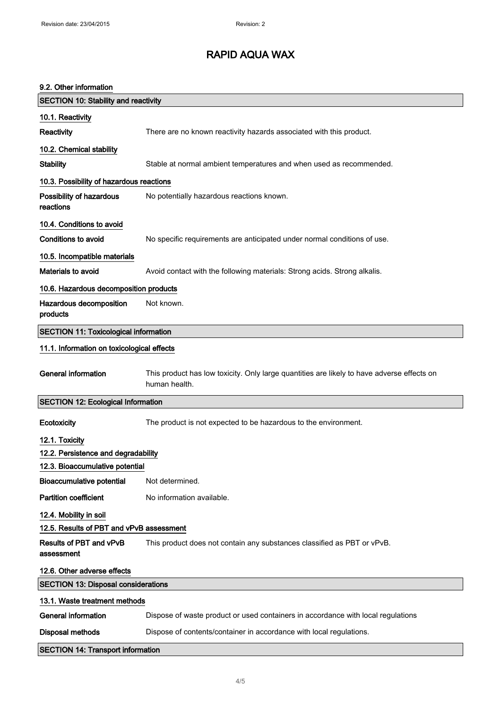9.2. Other information

# RAPID AQUA WAX

# SECTION 10: Stability and reactivity 10.1. Reactivity Reactivity There are no known reactivity hazards associated with this product. 10.2. Chemical stability Stability Stable at normal ambient temperatures and when used as recommended. 10.3. Possibility of hazardous reactions Possibility of hazardous reactions No potentially hazardous reactions known. 10.4. Conditions to avoid Conditions to avoid Mo specific requirements are anticipated under normal conditions of use. 10.5. Incompatible materials Materials to avoid **Avoid contact with the following materials: Strong acids. Strong alkalis.** 10.6. Hazardous decomposition products Hazardous decomposition products Not known. SECTION 11: Toxicological information 11.1. Information on toxicological effects General information This product has low toxicity. Only large quantities are likely to have adverse effects on human health. SECTION 12: Ecological Information Ecotoxicity The product is not expected to be hazardous to the environment. 12.1. Toxicity 12.2. Persistence and degradability 12.3. Bioaccumulative potential Bioaccumulative potential Not determined. Partition coefficient No information available. 12.4. Mobility in soil 12.5. Results of PBT and vPvB assessment Results of PBT and vPvB assessment This product does not contain any substances classified as PBT or vPvB. 12.6. Other adverse effects SECTION 13: Disposal considerations 13.1. Waste treatment methods

| <b>SECTION 14: Transport information</b> |                                                                                  |
|------------------------------------------|----------------------------------------------------------------------------------|
| Disposal methods                         | Dispose of contents/container in accordance with local regulations.              |
| General information                      | Dispose of waste product or used containers in accordance with local regulations |